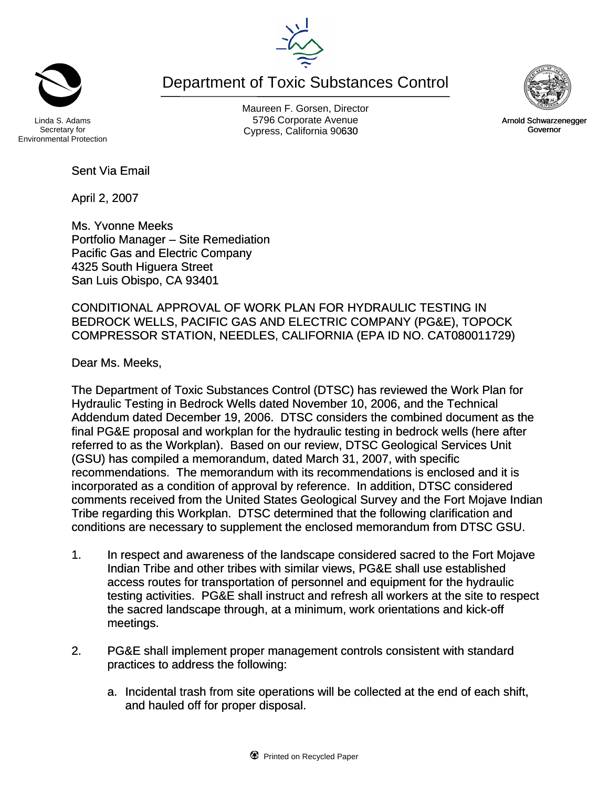Maureen F. Gorsen, Director Linda S. Adams **Example 20 Constructs** S796 Corporate Avenu Cypress, California 90630 **Canadian Cypress**, California 90630

Department of Toxic Substances Control

Sent Via Email

April 2, 2007

Ms. Yvonne Meeks Portfolio Manager – Site Remediation Pacific Gas and Electric Company 4325 South Higuera Street San Luis Obispo, CA 93401

CONDITIONAL APPROVAL OF WORK PLAN FOR HYDRAULIC TESTING IN BEDROCK WELLS, PACIFIC GAS AND ELECTRIC COMPANY (PG&E), TOPOCK COMPRESSOR STATION, NEEDLES, CALIFORNIA (EPA ID NO. CAT080011729)

Dear Ms. Meeks,

The Department of Toxic Substances Control (DTSC) has reviewed the Work Plan for Hydraulic Testing in Bedrock Wells dated November 10, 2006, and the Technical Addendum dated December 19, 2006. DTSC considers the combined document as the final PG&E proposal and workplan for the hydraulic testing in bedrock wells (here after referred to as the Workplan). Based on our review, DTSC Geological Services Unit (GSU) has compiled a memorandum, dated March 31, 2007, with specific recommendations. The memorandum with its recommendations is enclosed and it is incorporated as a condition of approval by reference. In addition, DTSC considered comments received from the United States Geological Survey and the Fort Mojave Indian Tribe regarding this Workplan. DTSC determined that the following clarification and conditions are necessary to supplement the enclosed memorandum from DTSC GSU.

- 1. In respect and awareness of the landscape considered sacred to the Fort Mojave Indian Tribe and other tribes with similar views, PG&E shall use established access routes for transportation of personnel and equipment for the hydraulic testing activities. PG&E shall instruct and refresh all workers at the site to respect the sacred landscape through, at a minimum, work orientations and kick-off meetings.
- 2. PG&E shall implement proper management controls consistent with standard practices to address the following:
	- a. Incidental trash from site operations will be collected at the end of each shift, and hauled off for proper disposal.

Arnold Schwarzenegger Governor

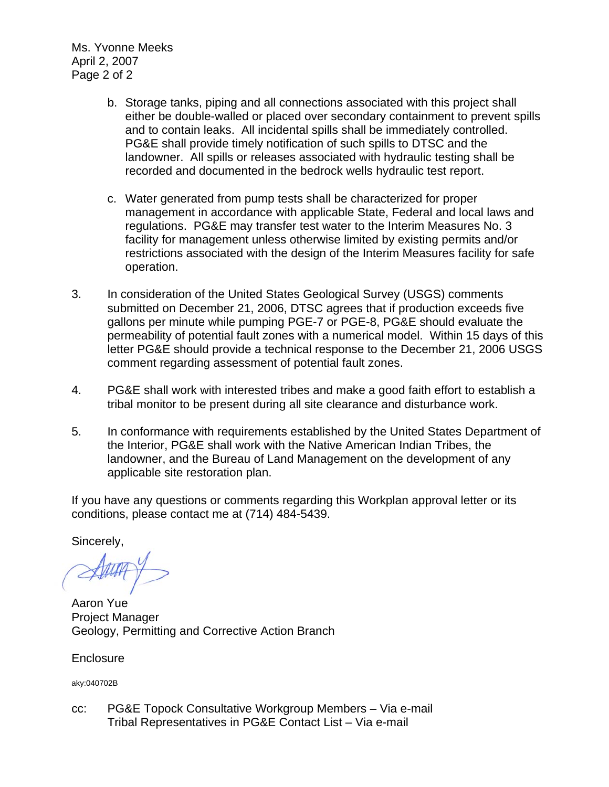Ms. Yvonne Meeks April 2, 2007 Page 2 of 2

- b. Storage tanks, piping and all connections associated with this project shall either be double-walled or placed over secondary containment to prevent spills and to contain leaks. All incidental spills shall be immediately controlled. PG&E shall provide timely notification of such spills to DTSC and the landowner. All spills or releases associated with hydraulic testing shall be recorded and documented in the bedrock wells hydraulic test report.
- c. Water generated from pump tests shall be characterized for proper management in accordance with applicable State, Federal and local laws and regulations. PG&E may transfer test water to the Interim Measures No. 3 facility for management unless otherwise limited by existing permits and/or restrictions associated with the design of the Interim Measures facility for safe operation.
- 3. In consideration of the United States Geological Survey (USGS) comments submitted on December 21, 2006, DTSC agrees that if production exceeds five gallons per minute while pumping PGE-7 or PGE-8, PG&E should evaluate the permeability of potential fault zones with a numerical model. Within 15 days of this letter PG&E should provide a technical response to the December 21, 2006 USGS comment regarding assessment of potential fault zones.
- 4. PG&E shall work with interested tribes and make a good faith effort to establish a tribal monitor to be present during all site clearance and disturbance work.
- 5. In conformance with requirements established by the United States Department of the Interior, PG&E shall work with the Native American Indian Tribes, the landowner, and the Bureau of Land Management on the development of any applicable site restoration plan.

If you have any questions or comments regarding this Workplan approval letter or its conditions, please contact me at (714) 484-5439.

Sincerely,

Aaron Yue Project Manager Geology, Permitting and Corrective Action Branch

**Enclosure** 

aky:040702B

cc: PG&E Topock Consultative Workgroup Members – Via e-mail Tribal Representatives in PG&E Contact List – Via e-mail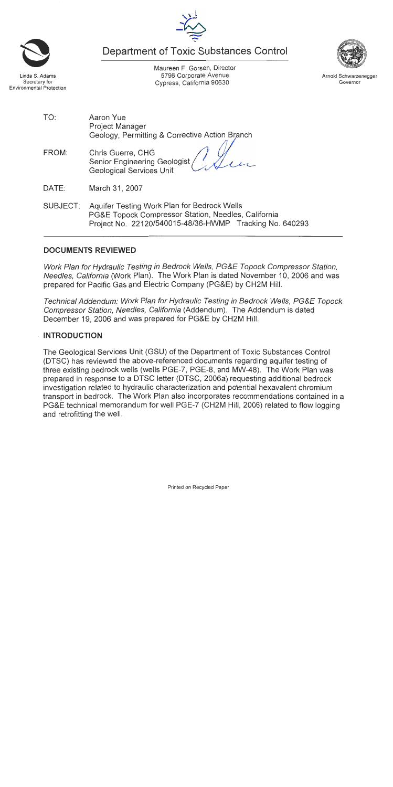Maureen F. Gorsen, Director 5796 Corporate Avenue Cypress, California 90630

**Department of Toxic Substances Control** 

TO:

Aaron Yue

**Project Manager** Geology, Permitting & Corrective Action Branch

- FROM: Chris Guerre, CHG **Senior Engineering Geologist Geological Services Unit**
- DATE: March 31, 2007
- SUBJECT: Aquifer Testing Work Plan for Bedrock Wells PG&E Topock Compressor Station, Needles, California Project No. 22120/540015-48/36-HWMP Tracking No. 640293

## **DOCUMENTS REVIEWED**

Work Plan for Hydraulic Testing in Bedrock Wells, PG&E Topock Compressor Station. Needles, California (Work Plan). The Work Plan is dated November 10, 2006 and was prepared for Pacific Gas and Electric Company (PG&E) by CH2M Hill.

Technical Addendum: Work Plan for Hydraulic Testing in Bedrock Wells, PG&E Topock Compressor Station, Needles, California (Addendum). The Addendum is dated December 19, 2006 and was prepared for PG&E by CH2M Hill.

# **INTRODUCTION**

The Geological Services Unit (GSU) of the Department of Toxic Substances Control (DTSC) has reviewed the above-referenced documents regarding aquifer testing of three existing bedrock wells (wells PGE-7, PGE-8, and MW-48). The Work Plan was prepared in response to a DTSC letter (DTSC, 2006a) requesting additional bedrock investigation related to hydraulic characterization and potential hexavalent chromium transport in bedrock. The Work Plan also incorporates recommendations contained in a PG&E technical memorandum for well PGE-7 (CH2M Hill, 2006) related to flow logging and retrofitting the well.





Arnold Schwarzenegger Governor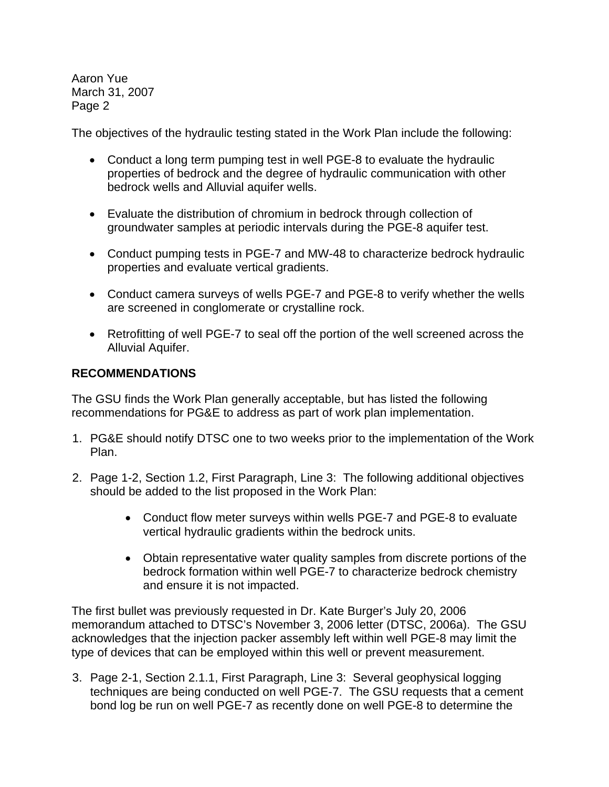The objectives of the hydraulic testing stated in the Work Plan include the following:

- Conduct a long term pumping test in well PGE-8 to evaluate the hydraulic properties of bedrock and the degree of hydraulic communication with other bedrock wells and Alluvial aquifer wells.
- Evaluate the distribution of chromium in bedrock through collection of groundwater samples at periodic intervals during the PGE-8 aquifer test.
- Conduct pumping tests in PGE-7 and MW-48 to characterize bedrock hydraulic properties and evaluate vertical gradients.
- Conduct camera surveys of wells PGE-7 and PGE-8 to verify whether the wells are screened in conglomerate or crystalline rock.
- Retrofitting of well PGE-7 to seal off the portion of the well screened across the Alluvial Aquifer.

### **RECOMMENDATIONS**

The GSU finds the Work Plan generally acceptable, but has listed the following recommendations for PG&E to address as part of work plan implementation.

- 1. PG&E should notify DTSC one to two weeks prior to the implementation of the Work Plan.
- 2. Page 1-2, Section 1.2, First Paragraph, Line 3: The following additional objectives should be added to the list proposed in the Work Plan:
	- Conduct flow meter surveys within wells PGE-7 and PGE-8 to evaluate vertical hydraulic gradients within the bedrock units.
	- Obtain representative water quality samples from discrete portions of the bedrock formation within well PGE-7 to characterize bedrock chemistry and ensure it is not impacted.

The first bullet was previously requested in Dr. Kate Burger's July 20, 2006 memorandum attached to DTSC's November 3, 2006 letter (DTSC, 2006a). The GSU acknowledges that the injection packer assembly left within well PGE-8 may limit the type of devices that can be employed within this well or prevent measurement.

3. Page 2-1, Section 2.1.1, First Paragraph, Line 3: Several geophysical logging techniques are being conducted on well PGE-7. The GSU requests that a cement bond log be run on well PGE-7 as recently done on well PGE-8 to determine the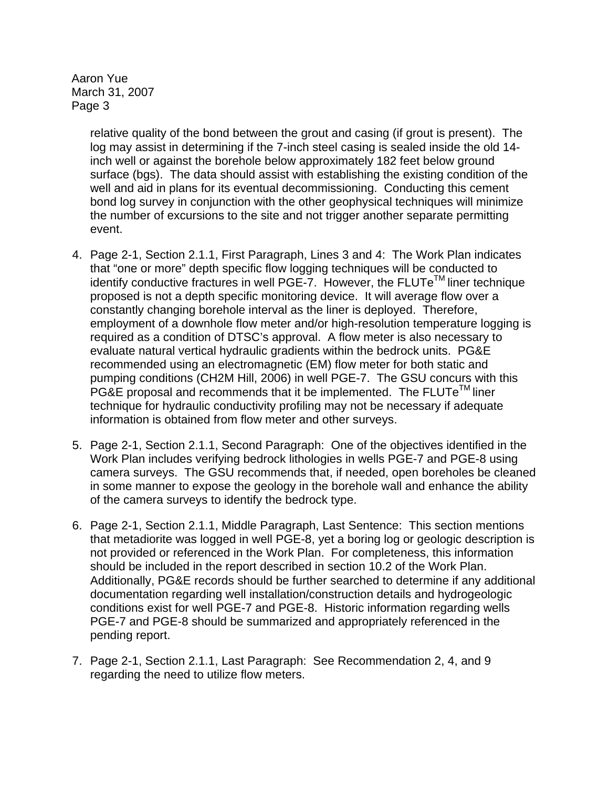> relative quality of the bond between the grout and casing (if grout is present). The log may assist in determining if the 7-inch steel casing is sealed inside the old 14 inch well or against the borehole below approximately 182 feet below ground surface (bgs). The data should assist with establishing the existing condition of the well and aid in plans for its eventual decommissioning. Conducting this cement bond log survey in conjunction with the other geophysical techniques will minimize the number of excursions to the site and not trigger another separate permitting event.

- 4. Page 2-1, Section 2.1.1, First Paragraph, Lines 3 and 4: The Work Plan indicates that "one or more" depth specific flow logging techniques will be conducted to identify conductive fractures in well PGE-7. However, the  $FLUTe^{TM}$  liner technique proposed is not a depth specific monitoring device. It will average flow over a constantly changing borehole interval as the liner is deployed. Therefore, employment of a downhole flow meter and/or high-resolution temperature logging is required as a condition of DTSC's approval. A flow meter is also necessary to evaluate natural vertical hydraulic gradients within the bedrock units. PG&E recommended using an electromagnetic (EM) flow meter for both static and pumping conditions (CH2M Hill, 2006) in well PGE-7. The GSU concurs with this PG&E proposal and recommends that it be implemented. The  $FLUTe^{TM}$  liner technique for hydraulic conductivity profiling may not be necessary if adequate information is obtained from flow meter and other surveys.
- 5. Page 2-1, Section 2.1.1, Second Paragraph: One of the objectives identified in the Work Plan includes verifying bedrock lithologies in wells PGE-7 and PGE-8 using camera surveys. The GSU recommends that, if needed, open boreholes be cleaned in some manner to expose the geology in the borehole wall and enhance the ability of the camera surveys to identify the bedrock type.
- 6. Page 2-1, Section 2.1.1, Middle Paragraph, Last Sentence: This section mentions that metadiorite was logged in well PGE-8, yet a boring log or geologic description is not provided or referenced in the Work Plan. For completeness, this information should be included in the report described in section 10.2 of the Work Plan. Additionally, PG&E records should be further searched to determine if any additional documentation regarding well installation/construction details and hydrogeologic conditions exist for well PGE-7 and PGE-8. Historic information regarding wells PGE-7 and PGE-8 should be summarized and appropriately referenced in the pending report.
- 7. Page 2-1, Section 2.1.1, Last Paragraph: See Recommendation 2, 4, and 9 regarding the need to utilize flow meters.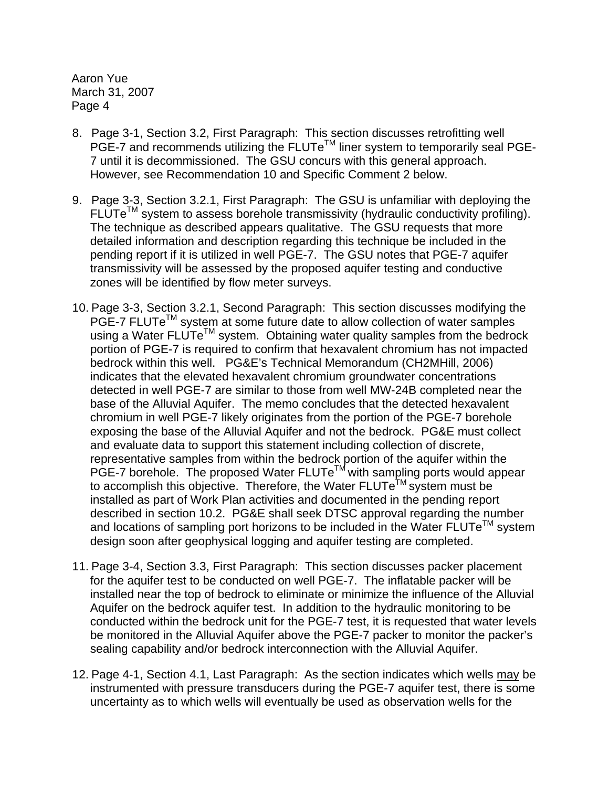- 8. Page 3-1, Section 3.2, First Paragraph: This section discusses retrofitting well PGE-7 and recommends utilizing the FLUTe<sup>™</sup> liner system to temporarily seal PGE-7 until it is decommissioned. The GSU concurs with this general approach. However, see Recommendation 10 and Specific Comment 2 below.
- 9. Page 3-3, Section 3.2.1, First Paragraph: The GSU is unfamiliar with deploying the  $FLUTE<sup>TM</sup>$  system to assess borehole transmissivity (hydraulic conductivity profiling). The technique as described appears qualitative. The GSU requests that more detailed information and description regarding this technique be included in the pending report if it is utilized in well PGE-7. The GSU notes that PGE-7 aquifer transmissivity will be assessed by the proposed aquifer testing and conductive zones will be identified by flow meter surveys.
- 10. Page 3-3, Section 3.2.1, Second Paragraph: This section discusses modifying the PGE-7 FLUTe<sup>™</sup> system at some future date to allow collection of water samples using a Water  $FLUTe^{TM}$  system. Obtaining water quality samples from the bedrock portion of PGE-7 is required to confirm that hexavalent chromium has not impacted bedrock within this well. PG&E's Technical Memorandum (CH2MHill, 2006) indicates that the elevated hexavalent chromium groundwater concentrations detected in well PGE-7 are similar to those from well MW-24B completed near the base of the Alluvial Aquifer. The memo concludes that the detected hexavalent chromium in well PGE-7 likely originates from the portion of the PGE-7 borehole exposing the base of the Alluvial Aquifer and not the bedrock. PG&E must collect and evaluate data to support this statement including collection of discrete, representative samples from within the bedrock portion of the aquifer within the PGE-7 borehole. The proposed Water  $FLUTE<sup>TM</sup>$  with sampling ports would appear to accomplish this objective. Therefore, the Water  $FLUTe^{LM}$  system must be installed as part of Work Plan activities and documented in the pending report described in section 10.2. PG&E shall seek DTSC approval regarding the number and locations of sampling port horizons to be included in the Water  $FLUTe^{TM}$  system design soon after geophysical logging and aquifer testing are completed.
- 11. Page 3-4, Section 3.3, First Paragraph: This section discusses packer placement for the aquifer test to be conducted on well PGE-7. The inflatable packer will be installed near the top of bedrock to eliminate or minimize the influence of the Alluvial Aquifer on the bedrock aquifer test. In addition to the hydraulic monitoring to be conducted within the bedrock unit for the PGE-7 test, it is requested that water levels be monitored in the Alluvial Aquifer above the PGE-7 packer to monitor the packer's sealing capability and/or bedrock interconnection with the Alluvial Aquifer.
- 12. Page 4-1, Section 4.1, Last Paragraph: As the section indicates which wells may be instrumented with pressure transducers during the PGE-7 aquifer test, there is some uncertainty as to which wells will eventually be used as observation wells for the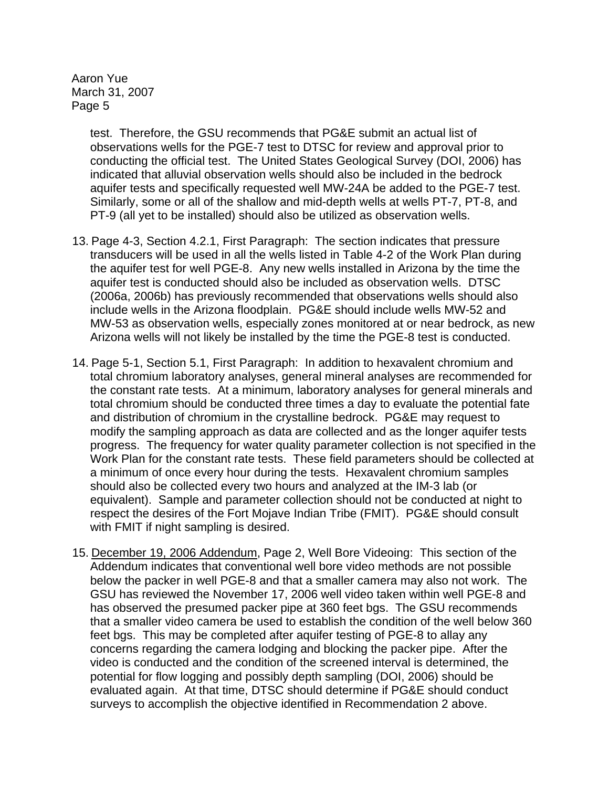> test. Therefore, the GSU recommends that PG&E submit an actual list of observations wells for the PGE-7 test to DTSC for review and approval prior to conducting the official test. The United States Geological Survey (DOI, 2006) has indicated that alluvial observation wells should also be included in the bedrock aquifer tests and specifically requested well MW-24A be added to the PGE-7 test. Similarly, some or all of the shallow and mid-depth wells at wells PT-7, PT-8, and PT-9 (all yet to be installed) should also be utilized as observation wells.

- 13. Page 4-3, Section 4.2.1, First Paragraph: The section indicates that pressure transducers will be used in all the wells listed in Table 4-2 of the Work Plan during the aquifer test for well PGE-8. Any new wells installed in Arizona by the time the aquifer test is conducted should also be included as observation wells. DTSC (2006a, 2006b) has previously recommended that observations wells should also include wells in the Arizona floodplain. PG&E should include wells MW-52 and MW-53 as observation wells, especially zones monitored at or near bedrock, as new Arizona wells will not likely be installed by the time the PGE-8 test is conducted.
- 14. Page 5-1, Section 5.1, First Paragraph: In addition to hexavalent chromium and total chromium laboratory analyses, general mineral analyses are recommended for the constant rate tests. At a minimum, laboratory analyses for general minerals and total chromium should be conducted three times a day to evaluate the potential fate and distribution of chromium in the crystalline bedrock. PG&E may request to modify the sampling approach as data are collected and as the longer aquifer tests progress. The frequency for water quality parameter collection is not specified in the Work Plan for the constant rate tests. These field parameters should be collected at a minimum of once every hour during the tests. Hexavalent chromium samples should also be collected every two hours and analyzed at the IM-3 lab (or equivalent). Sample and parameter collection should not be conducted at night to respect the desires of the Fort Mojave Indian Tribe (FMIT). PG&E should consult with FMIT if night sampling is desired.
- 15. December 19, 2006 Addendum, Page 2, Well Bore Videoing: This section of the Addendum indicates that conventional well bore video methods are not possible below the packer in well PGE-8 and that a smaller camera may also not work. The GSU has reviewed the November 17, 2006 well video taken within well PGE-8 and has observed the presumed packer pipe at 360 feet bgs. The GSU recommends that a smaller video camera be used to establish the condition of the well below 360 feet bgs. This may be completed after aquifer testing of PGE-8 to allay any concerns regarding the camera lodging and blocking the packer pipe. After the video is conducted and the condition of the screened interval is determined, the potential for flow logging and possibly depth sampling (DOI, 2006) should be evaluated again. At that time, DTSC should determine if PG&E should conduct surveys to accomplish the objective identified in Recommendation 2 above.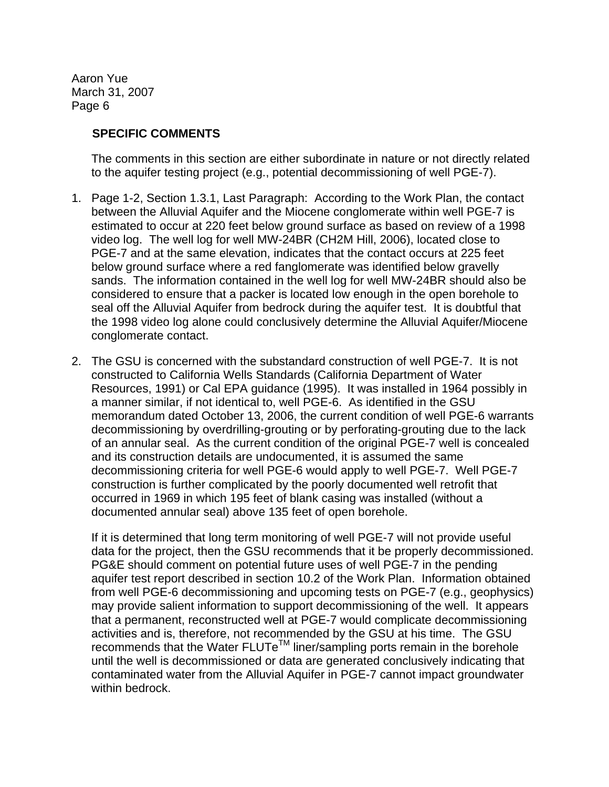### **SPECIFIC COMMENTS**

The comments in this section are either subordinate in nature or not directly related to the aquifer testing project (e.g., potential decommissioning of well PGE-7).

- 1. Page 1-2, Section 1.3.1, Last Paragraph: According to the Work Plan, the contact between the Alluvial Aquifer and the Miocene conglomerate within well PGE-7 is estimated to occur at 220 feet below ground surface as based on review of a 1998 video log. The well log for well MW-24BR (CH2M Hill, 2006), located close to PGE-7 and at the same elevation, indicates that the contact occurs at 225 feet below ground surface where a red fanglomerate was identified below gravelly sands. The information contained in the well log for well MW-24BR should also be considered to ensure that a packer is located low enough in the open borehole to seal off the Alluvial Aquifer from bedrock during the aquifer test. It is doubtful that the 1998 video log alone could conclusively determine the Alluvial Aquifer/Miocene conglomerate contact.
- 2. The GSU is concerned with the substandard construction of well PGE-7. It is not constructed to California Wells Standards (California Department of Water Resources, 1991) or Cal EPA guidance (1995). It was installed in 1964 possibly in a manner similar, if not identical to, well PGE-6. As identified in the GSU memorandum dated October 13, 2006, the current condition of well PGE-6 warrants decommissioning by overdrilling-grouting or by perforating-grouting due to the lack of an annular seal. As the current condition of the original PGE-7 well is concealed and its construction details are undocumented, it is assumed the same decommissioning criteria for well PGE-6 would apply to well PGE-7. Well PGE-7 construction is further complicated by the poorly documented well retrofit that occurred in 1969 in which 195 feet of blank casing was installed (without a documented annular seal) above 135 feet of open borehole.

If it is determined that long term monitoring of well PGE-7 will not provide useful data for the project, then the GSU recommends that it be properly decommissioned. PG&E should comment on potential future uses of well PGE-7 in the pending aquifer test report described in section 10.2 of the Work Plan. Information obtained from well PGE-6 decommissioning and upcoming tests on PGE-7 (e.g., geophysics) may provide salient information to support decommissioning of the well. It appears that a permanent, reconstructed well at PGE-7 would complicate decommissioning activities and is, therefore, not recommended by the GSU at his time. The GSU recommends that the Water  $FLUTE<sup>TM</sup>$  liner/sampling ports remain in the borehole until the well is decommissioned or data are generated conclusively indicating that contaminated water from the Alluvial Aquifer in PGE-7 cannot impact groundwater within bedrock.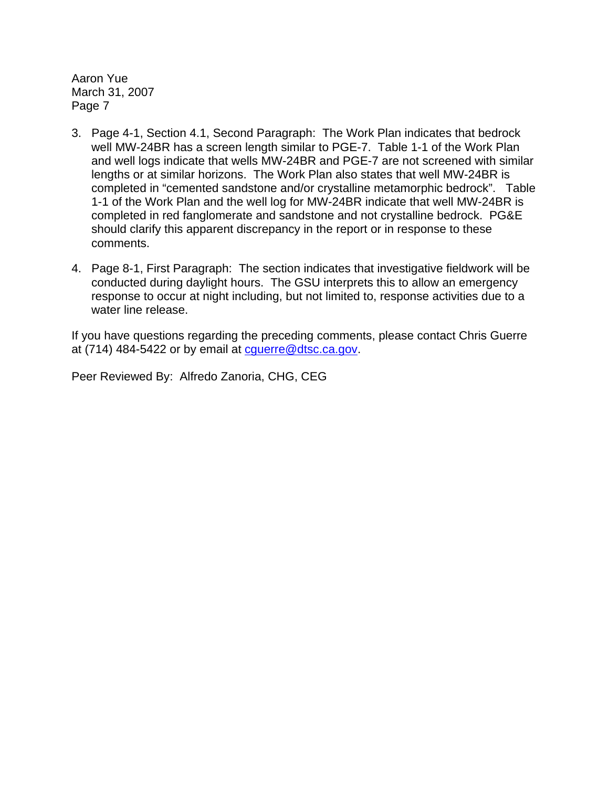- 3. Page 4-1, Section 4.1, Second Paragraph: The Work Plan indicates that bedrock well MW-24BR has a screen length similar to PGE-7. Table 1-1 of the Work Plan and well logs indicate that wells MW-24BR and PGE-7 are not screened with similar lengths or at similar horizons. The Work Plan also states that well MW-24BR is completed in "cemented sandstone and/or crystalline metamorphic bedrock". Table 1-1 of the Work Plan and the well log for MW-24BR indicate that well MW-24BR is completed in red fanglomerate and sandstone and not crystalline bedrock. PG&E should clarify this apparent discrepancy in the report or in response to these comments.
- 4. Page 8-1, First Paragraph: The section indicates that investigative fieldwork will be conducted during daylight hours. The GSU interprets this to allow an emergency response to occur at night including, but not limited to, response activities due to a water line release.

If you have questions regarding the preceding comments, please contact Chris Guerre at  $(714)$  484-5422 or by email at cquerre @dtsc.ca.gov.

Peer Reviewed By: Alfredo Zanoria, CHG, CEG